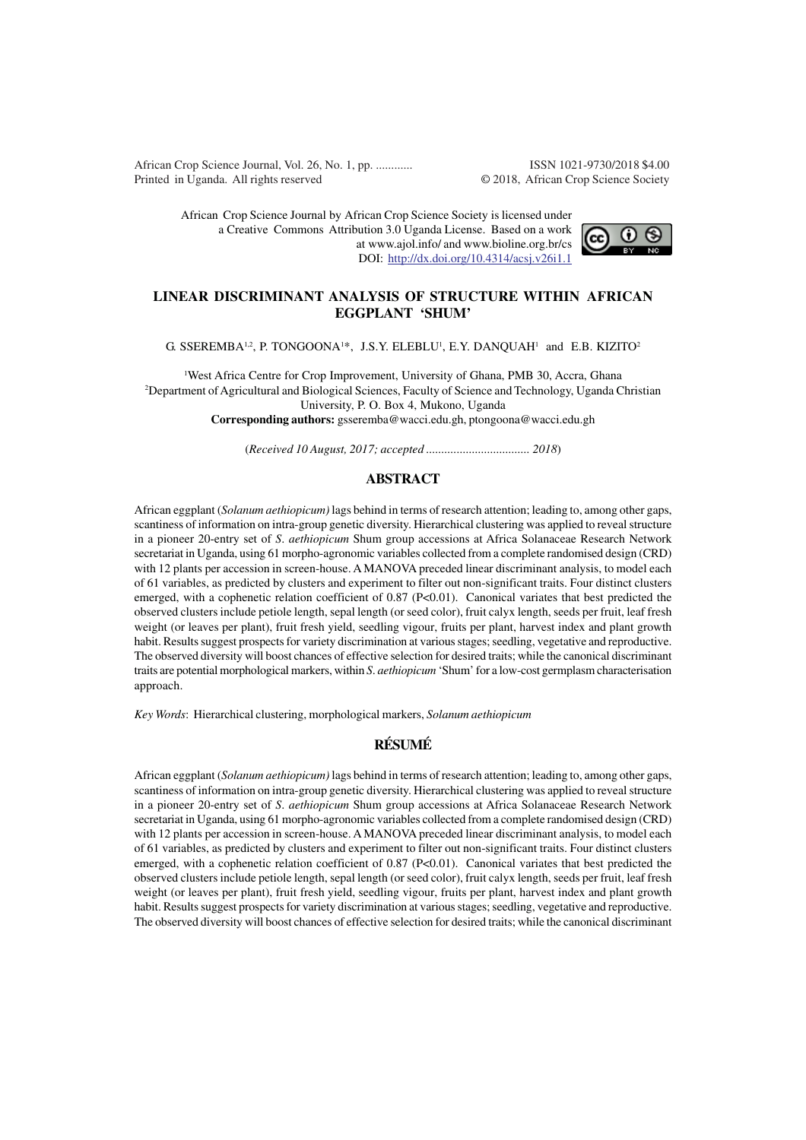African Crop Science Journal, Vol. 26, No. 1, pp. ............ ISSN 1021-9730/2018 \$4.00 Printed in Uganda. All rights reserved © 2018, African Crop Science Society

African Crop Science Journal by African Crop Science Society is licensed under a Creative Commons Attribution 3.0 Uganda License. Based on a work at www.ajol.info/ and www.bioline.org.br/cs DOI: http://dx.doi.org/10.4314/acsj.v26i1.1



## **LINEAR DISCRIMINANT ANALYSIS OF STRUCTURE WITHIN AFRICAN EGGPLANT 'SHUM'**

G. SSEREMBA<sup>1,2</sup>, P. TONGOONA<sup>1\*</sup>, J.S.Y. ELEBLU<sup>1</sup>, E.Y. DANQUAH<sup>1</sup> and E.B. KIZITO<sup>2</sup>

<sup>1</sup>West Africa Centre for Crop Improvement, University of Ghana, PMB 30, Accra, Ghana <sup>2</sup>Department of Agricultural and Biological Sciences, Faculty of Science and Technology, Uganda Christian University, P. O. Box 4, Mukono, Uganda **Corresponding authors:** gsseremba@wacci.edu.gh, ptongoona@wacci.edu.gh

(*Received 10 August, 2017; accepted .................................. 2018*)

# **ABSTRACT**

African eggplant (*Solanum aethiopicum)* lags behind in terms of research attention; leading to, among other gaps, scantiness of information on intra-group genetic diversity. Hierarchical clustering was applied to reveal structure in a pioneer 20-entry set of *S*. *aethiopicum* Shum group accessions at Africa Solanaceae Research Network secretariat in Uganda, using 61 morpho-agronomic variables collected from a complete randomised design (CRD) with 12 plants per accession in screen-house. A MANOVA preceded linear discriminant analysis, to model each of 61 variables, as predicted by clusters and experiment to filter out non-significant traits. Four distinct clusters emerged, with a cophenetic relation coefficient of 0.87 (P<0.01). Canonical variates that best predicted the observed clusters include petiole length, sepal length (or seed color), fruit calyx length, seeds per fruit, leaf fresh weight (or leaves per plant), fruit fresh yield, seedling vigour, fruits per plant, harvest index and plant growth habit. Results suggest prospects for variety discrimination at various stages; seedling, vegetative and reproductive. The observed diversity will boost chances of effective selection for desired traits; while the canonical discriminant traits are potential morphological markers, within *S*. *aethiopicum* 'Shum' for a low-cost germplasm characterisation approach.

*Key Words*: Hierarchical clustering, morphological markers, *Solanum aethiopicum*

# **RÉSUMÉ**

African eggplant (*Solanum aethiopicum)* lags behind in terms of research attention; leading to, among other gaps, scantiness of information on intra-group genetic diversity. Hierarchical clustering was applied to reveal structure in a pioneer 20-entry set of *S*. *aethiopicum* Shum group accessions at Africa Solanaceae Research Network secretariat in Uganda, using 61 morpho-agronomic variables collected from a complete randomised design (CRD) with 12 plants per accession in screen-house. A MANOVA preceded linear discriminant analysis, to model each of 61 variables, as predicted by clusters and experiment to filter out non-significant traits. Four distinct clusters emerged, with a cophenetic relation coefficient of 0.87 (P<0.01). Canonical variates that best predicted the observed clusters include petiole length, sepal length (or seed color), fruit calyx length, seeds per fruit, leaf fresh weight (or leaves per plant), fruit fresh yield, seedling vigour, fruits per plant, harvest index and plant growth habit. Results suggest prospects for variety discrimination at various stages; seedling, vegetative and reproductive. The observed diversity will boost chances of effective selection for desired traits; while the canonical discriminant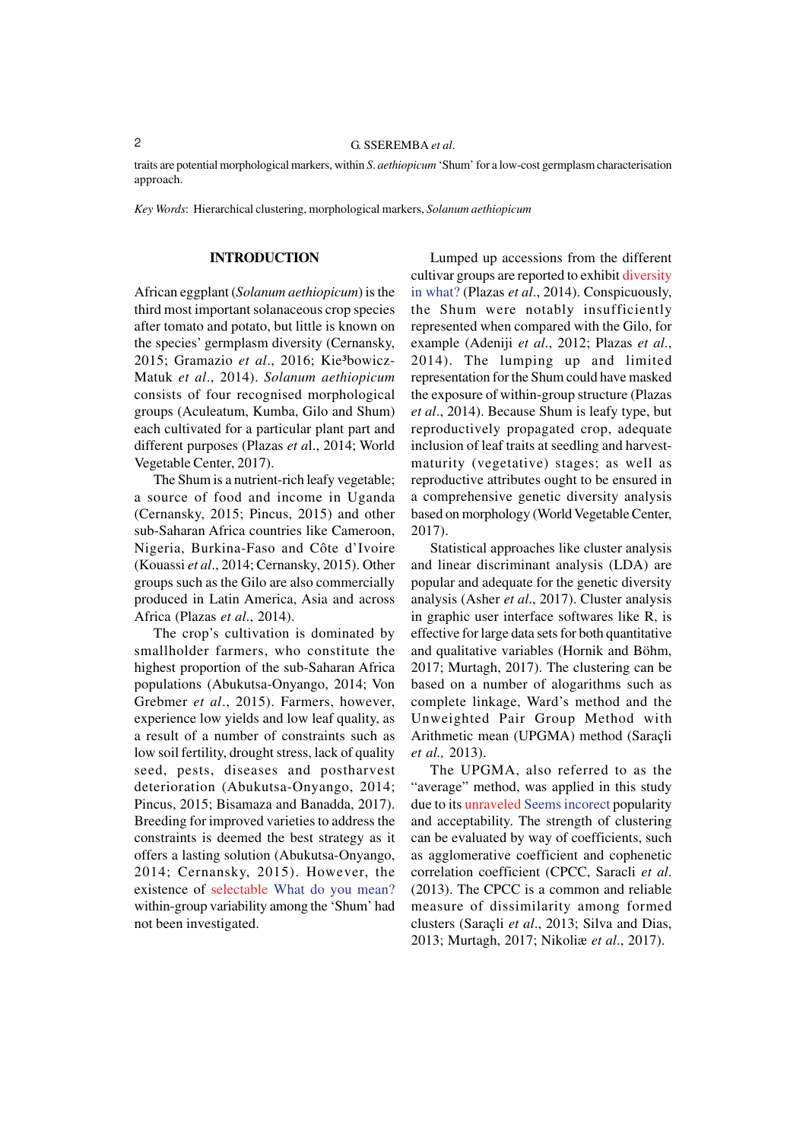traits are potential morphological markers, within *S*. *aethiopicum* 'Shum' for a low-cost germplasm characterisation approach.

*Key Words*: Hierarchical clustering, morphological markers, *Solanum aethiopicum*

#### **INTRODUCTION**

African eggplant (*Solanum aethiopicum*) is the third most important solanaceous crop species after tomato and potato, but little is known on the species' germplasm diversity (Cernansky, 2015; Gramazio et al., 2016; Kie<sup>3</sup>bowicz-Matuk *et al*., 2014). *Solanum aethiopicum* consists of four recognised morphological groups (Aculeatum, Kumba, Gilo and Shum) each cultivated for a particular plant part and different purposes (Plazas *et a*l., 2014; World Vegetable Center, 2017).

The Shum is a nutrient-rich leafy vegetable; a source of food and income in Uganda (Cernansky, 2015; Pincus, 2015) and other sub-Saharan Africa countries like Cameroon, Nigeria, Burkina-Faso and Côte d'Ivoire (Kouassi *et al*., 2014; Cernansky, 2015). Other groups such as the Gilo are also commercially produced in Latin America, Asia and across Africa (Plazas *et al*., 2014).

The crop's cultivation is dominated by smallholder farmers, who constitute the highest proportion of the sub-Saharan Africa populations (Abukutsa-Onyango, 2014; Von Grebmer *et al*., 2015). Farmers, however, experience low yields and low leaf quality, as a result of a number of constraints such as low soil fertility, drought stress, lack of quality seed, pests, diseases and postharvest deterioration (Abukutsa-Onyango, 2014; Pincus, 2015; Bisamaza and Banadda, 2017). Breeding for improved varieties to address the constraints is deemed the best strategy as it offers a lasting solution (Abukutsa-Onyango, 2014; Cernansky, 2015). However, the existence of selectable What do you mean? within-group variability among the 'Shum' had not been investigated.

Lumped up accessions from the different cultivar groups are reported to exhibit diversity in what? (Plazas *et al*., 2014). Conspicuously, the Shum were notably insufficiently represented when compared with the Gilo, for example (Adeniji *et al*., 2012; Plazas *et al*., 2014). The lumping up and limited representation for the Shum could have masked the exposure of within-group structure (Plazas *et al*., 2014). Because Shum is leafy type, but reproductively propagated crop, adequate inclusion of leaf traits at seedling and harvestmaturity (vegetative) stages; as well as reproductive attributes ought to be ensured in a comprehensive genetic diversity analysis based on morphology (World Vegetable Center, 2017).

Statistical approaches like cluster analysis and linear discriminant analysis (LDA) are popular and adequate for the genetic diversity analysis (Asher *et al*., 2017). Cluster analysis in graphic user interface softwares like R, is effective for large data sets for both quantitative and qualitative variables (Hornik and Böhm, 2017; Murtagh, 2017). The clustering can be based on a number of alogarithms such as complete linkage, Ward's method and the Unweighted Pair Group Method with Arithmetic mean (UPGMA) method (Saraçli *et al.,* 2013).

The UPGMA, also referred to as the "average" method, was applied in this study due to its unraveled Seems incorect popularity and acceptability. The strength of clustering can be evaluated by way of coefficients, such as agglomerative coefficient and cophenetic correlation coefficient (CPCC, Saracli *et al*. (2013). The CPCC is a common and reliable measure of dissimilarity among formed clusters (Saraçli *et al*., 2013; Silva and Dias, 2013; Murtagh, 2017; Nikoliæ *et al*., 2017).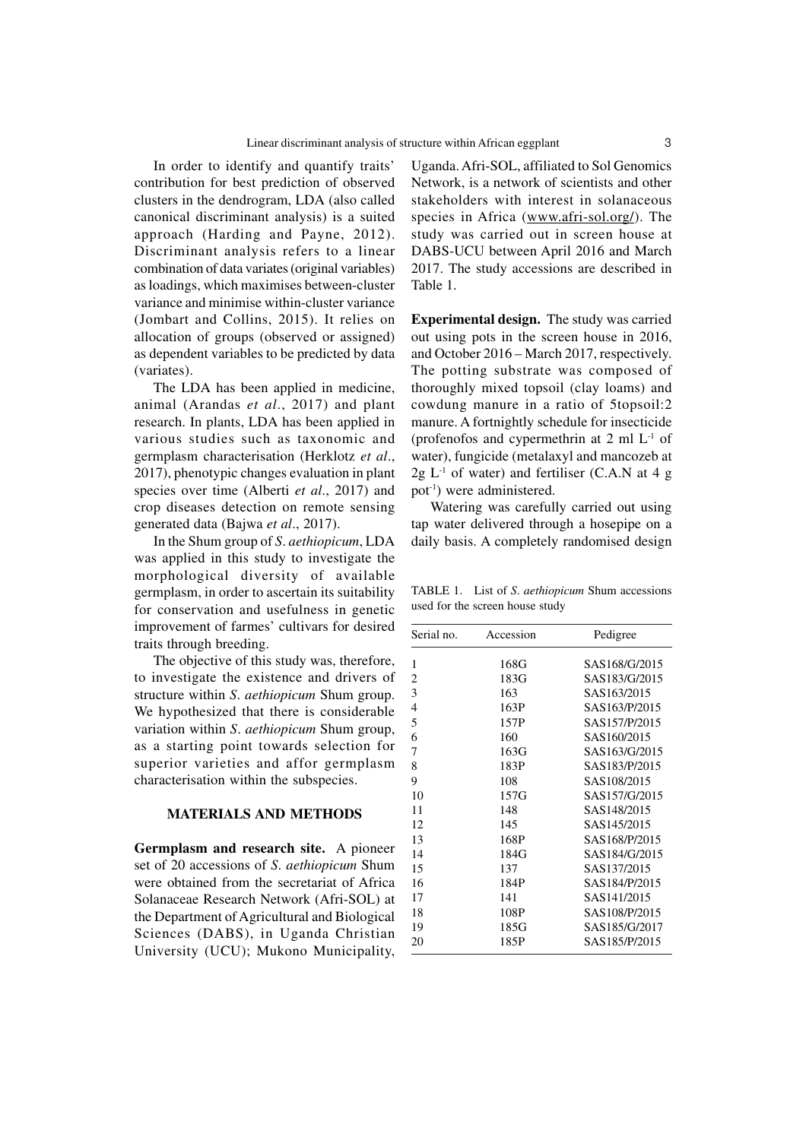In order to identify and quantify traits' contribution for best prediction of observed clusters in the dendrogram, LDA (also called canonical discriminant analysis) is a suited approach (Harding and Payne, 2012). Discriminant analysis refers to a linear combination of data variates (original variables) as loadings, which maximises between-cluster variance and minimise within-cluster variance (Jombart and Collins, 2015). It relies on allocation of groups (observed or assigned) as dependent variables to be predicted by data (variates).

The LDA has been applied in medicine, animal (Arandas *et al*., 2017) and plant research. In plants, LDA has been applied in various studies such as taxonomic and germplasm characterisation (Herklotz *et al*., 2017), phenotypic changes evaluation in plant species over time (Alberti *et al*., 2017) and crop diseases detection on remote sensing generated data (Bajwa *et al*., 2017).

In the Shum group of *S*. *aethiopicum*, LDA was applied in this study to investigate the morphological diversity of available germplasm, in order to ascertain its suitability for conservation and usefulness in genetic improvement of farmes' cultivars for desired traits through breeding.

The objective of this study was, therefore, to investigate the existence and drivers of structure within *S*. *aethiopicum* Shum group. We hypothesized that there is considerable variation within *S*. *aethiopicum* Shum group, as a starting point towards selection for superior varieties and affor germplasm characterisation within the subspecies.

### **MATERIALS AND METHODS**

**Germplasm and research site.** A pioneer set of 20 accessions of *S*. *aethiopicum* Shum were obtained from the secretariat of Africa Solanaceae Research Network (Afri-SOL) at the Department of Agricultural and Biological Sciences (DABS), in Uganda Christian University (UCU); Mukono Municipality, Uganda. Afri-SOL, affiliated to Sol Genomics Network, is a network of scientists and other stakeholders with interest in solanaceous species in Africa (www.afri-sol.org/). The study was carried out in screen house at DABS-UCU between April 2016 and March 2017. The study accessions are described in Table 1.

**Experimental design.** The study was carried out using pots in the screen house in 2016, and October 2016 – March 2017, respectively. The potting substrate was composed of thoroughly mixed topsoil (clay loams) and cowdung manure in a ratio of 5topsoil:2 manure. A fortnightly schedule for insecticide (profenofos and cypermethrin at  $2 \text{ ml } L^{-1}$  of water), fungicide (metalaxyl and mancozeb at  $2g L^{-1}$  of water) and fertiliser (C.A.N at 4 g pot-1) were administered.

Watering was carefully carried out using tap water delivered through a hosepipe on a daily basis. A completely randomised design

TABLE 1. List of *S*. *aethiopicum* Shum accessions used for the screen house study

| Serial no. | Accession | Pedigree      |  |  |  |
|------------|-----------|---------------|--|--|--|
| 1          | 168G      | SAS168/G/2015 |  |  |  |
| 2          | 183G      | SAS183/G/2015 |  |  |  |
| 3          | 163       | SAS163/2015   |  |  |  |
| 4          | 163P      | SAS163/P/2015 |  |  |  |
| 5          | 157P      | SAS157/P/2015 |  |  |  |
| 6          | 160       | SAS160/2015   |  |  |  |
| 7          | 163G      | SAS163/G/2015 |  |  |  |
| 8          | 183P      | SAS183/P/2015 |  |  |  |
| 9          | 108       | SAS108/2015   |  |  |  |
| 10         | 157G      | SAS157/G/2015 |  |  |  |
| 11         | 148       | SAS148/2015   |  |  |  |
| 12         | 145       | SAS145/2015   |  |  |  |
| 13         | 168P      | SAS168/P/2015 |  |  |  |
| 14         | 184G      | SAS184/G/2015 |  |  |  |
| 15         | 137       | SAS137/2015   |  |  |  |
| 16         | 184P      | SAS184/P/2015 |  |  |  |
| 17         | 141       | SAS141/2015   |  |  |  |
| 18         | 108P      | SAS108/P/2015 |  |  |  |
| 19         | 185G      | SAS185/G/2017 |  |  |  |
| 20         | 185P      | SAS185/P/2015 |  |  |  |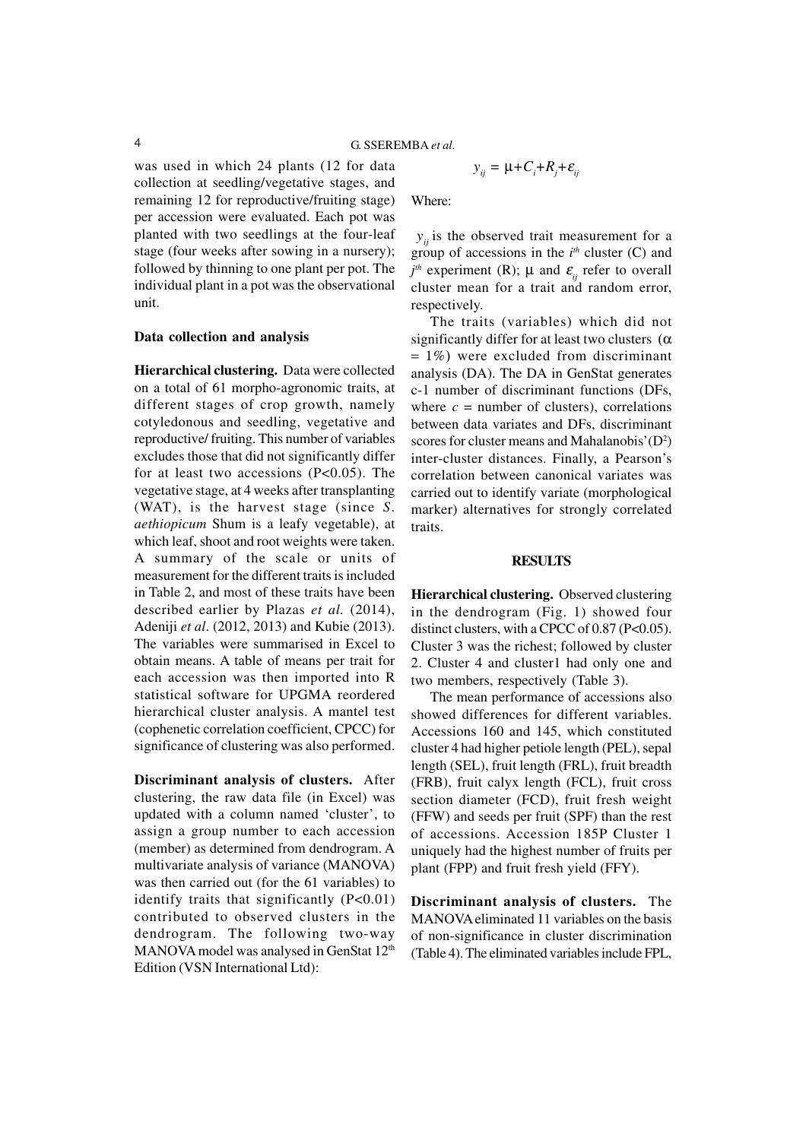was used in which 24 plants (12 for data collection at seedling/vegetative stages, and remaining 12 for reproductive/fruiting stage) per accession were evaluated. Each pot was planted with two seedlings at the four-leaf stage (four weeks after sowing in a nursery); followed by thinning to one plant per pot. The individual plant in a pot was the observational unit.

#### **Data collection and analysis**

**Hierarchical clustering.** Data were collected on a total of 61 morpho-agronomic traits, at different stages of crop growth, namely cotyledonous and seedling, vegetative and reproductive/ fruiting. This number of variables excludes those that did not significantly differ for at least two accessions (P<0.05). The vegetative stage, at 4 weeks after transplanting (WAT), is the harvest stage (since *S*. *aethiopicum* Shum is a leafy vegetable), at which leaf, shoot and root weights were taken. A summary of the scale or units of measurement for the different traits is included in Table 2, and most of these traits have been described earlier by Plazas *et al.* (2014), Adeniji *et al*. (2012, 2013) and Kubie (2013). The variables were summarised in Excel to obtain means. A table of means per trait for each accession was then imported into R statistical software for UPGMA reordered hierarchical cluster analysis. A mantel test (cophenetic correlation coefficient, CPCC) for significance of clustering was also performed.

**Discriminant analysis of clusters.** After clustering, the raw data file (in Excel) was updated with a column named 'cluster', to assign a group number to each accession (member) as determined from dendrogram. A multivariate analysis of variance (MANOVA) was then carried out (for the 61 variables) to identify traits that significantly (P<0.01) contributed to observed clusters in the dendrogram. The following two-way MANOVA model was analysed in GenStat 12<sup>th</sup> Edition (VSN International Ltd):

$$
y_{ij} = \mu + C_i + R_j + \varepsilon_{ij}
$$

Where:

 $y_{ij}$  is the observed trait measurement for a group of accessions in the *i th* cluster (C) and  $j<sup>th</sup>$  experiment (R);  $\mu$  and  $\varepsilon$ <sub>*ij*</sub> refer to overall cluster mean for a trait and random error, respectively.

The traits (variables) which did not significantly differ for at least two clusters  $(\alpha)$  $= 1\%$ ) were excluded from discriminant analysis (DA). The DA in GenStat generates c-1 number of discriminant functions (DFs, where  $c =$  number of clusters), correlations between data variates and DFs, discriminant scores for cluster means and Mahalanobis' $(D^2)$ inter-cluster distances. Finally, a Pearson's correlation between canonical variates was carried out to identify variate (morphological marker) alternatives for strongly correlated traits.

#### **RESULTS**

**Hierarchical clustering.** Observed clustering in the dendrogram (Fig. 1) showed four distinct clusters, with a CPCC of  $0.87$  (P<0.05). Cluster 3 was the richest; followed by cluster 2. Cluster 4 and cluster1 had only one and two members, respectively (Table 3).

The mean performance of accessions also showed differences for different variables. Accessions 160 and 145, which constituted cluster 4 had higher petiole length (PEL), sepal length (SEL), fruit length (FRL), fruit breadth (FRB), fruit calyx length (FCL), fruit cross section diameter (FCD), fruit fresh weight (FFW) and seeds per fruit (SPF) than the rest of accessions. Accession 185P Cluster 1 uniquely had the highest number of fruits per plant (FPP) and fruit fresh yield (FFY).

**Discriminant analysis of clusters.** The MANOVA eliminated 11 variables on the basis of non-significance in cluster discrimination (Table 4). The eliminated variables include FPL,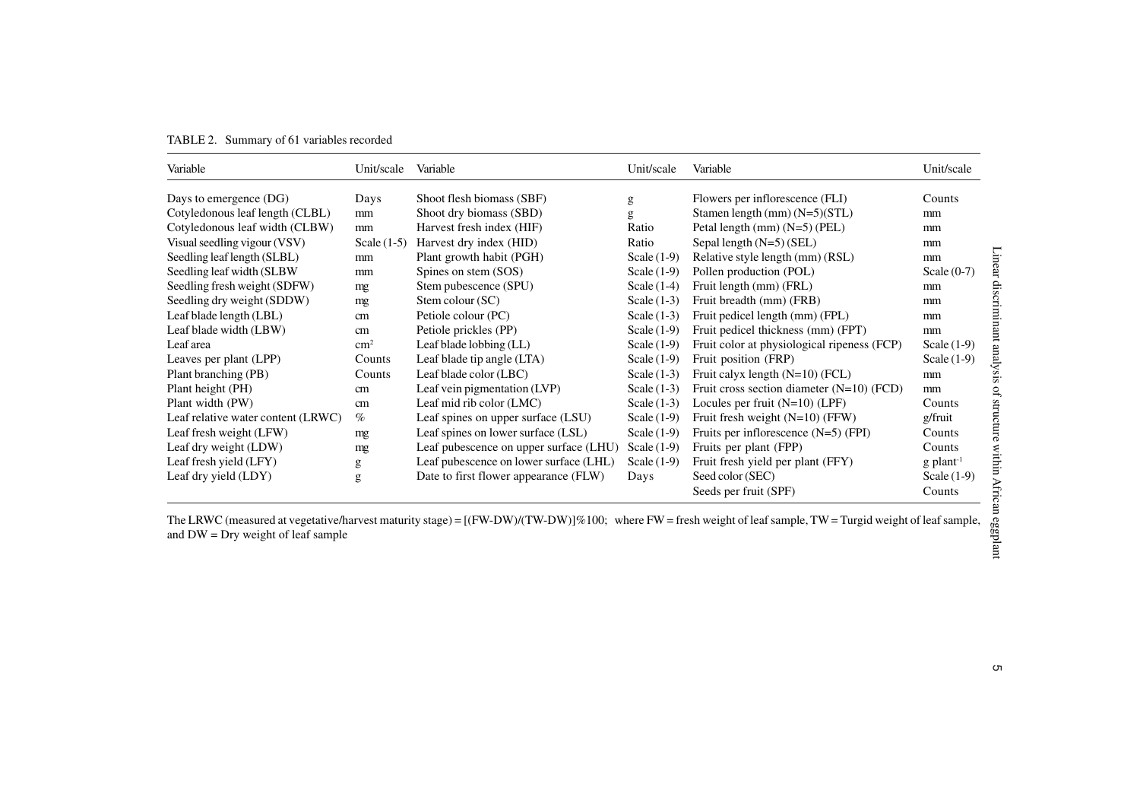|  | TABLE 2. Summary of 61 variables recorded |
|--|-------------------------------------------|
|  |                                           |

| Variable                             | Unit/scale Variable |                                        | Unit/scale    | Variable                                                                                                                                                         | Unit/scale                                                        |
|--------------------------------------|---------------------|----------------------------------------|---------------|------------------------------------------------------------------------------------------------------------------------------------------------------------------|-------------------------------------------------------------------|
| Days to emergence (DG)               | Days                | Shoot flesh biomass (SBF)              | g             | Flowers per inflorescence (FLI)                                                                                                                                  | Counts                                                            |
| Cotyledonous leaf length (CLBL)      | mm                  | Shoot dry biomass (SBD)                | g             | Stamen length (mm) (N=5)(STL)                                                                                                                                    | mm                                                                |
| Cotyledonous leaf width (CLBW)       | mm                  | Harvest fresh index (HIF)              | Ratio         | Petal length (mm) (N=5) (PEL)                                                                                                                                    | mm                                                                |
| Visual seedling vigour (VSV)         | Scale $(1-5)$       | Harvest dry index (HID)                | Ratio         | Sepal length (N=5) (SEL)                                                                                                                                         | mm                                                                |
| Seedling leaf length (SLBL)          | mm                  | Plant growth habit (PGH)               | Scale $(1-9)$ | Relative style length (mm) (RSL)                                                                                                                                 | mm                                                                |
| Seedling leaf width (SLBW            | mm                  | Spines on stem (SOS)                   | Scale $(1-9)$ | Pollen production (POL)                                                                                                                                          | Scale $(0-7)$                                                     |
| Seedling fresh weight (SDFW)         | mg                  | Stem pubescence (SPU)                  | Scale $(1-4)$ | Fruit length (mm) (FRL)                                                                                                                                          | mm                                                                |
| Seedling dry weight (SDDW)           | mg                  | Stem colour (SC)                       | Scale $(1-3)$ | Fruit breadth (mm) (FRB)                                                                                                                                         | mm                                                                |
| Leaf blade length (LBL)              | cm                  | Petiole colour (PC)                    | Scale $(1-3)$ | Fruit pedicel length (mm) (FPL)                                                                                                                                  | mm                                                                |
| Leaf blade width (LBW)               | cm                  | Petiole prickles (PP)                  | Scale $(1-9)$ | Fruit pedicel thickness (mm) (FPT)                                                                                                                               | mm                                                                |
| Leaf area                            | $\text{cm}^2$       | Leaf blade lobbing (LL)                | Scale $(1-9)$ | Fruit color at physiological ripeness (FCP)                                                                                                                      | Scale $(1-9)$                                                     |
| Leaves per plant (LPP)               | Counts              | Leaf blade tip angle (LTA)             | Scale $(1-9)$ | Fruit position (FRP)                                                                                                                                             | Scale $(1-9)$                                                     |
| Plant branching (PB)                 | Counts              | Leaf blade color (LBC)                 | Scale $(1-3)$ | Fruit calyx length (N=10) (FCL)                                                                                                                                  | mm                                                                |
| Plant height (PH)                    | cm                  | Leaf vein pigmentation (LVP)           | Scale $(1-3)$ | Fruit cross section diameter $(N=10)$ (FCD)                                                                                                                      | mm                                                                |
| Plant width (PW)                     | cm                  | Leaf mid rib color (LMC)               | Scale $(1-3)$ | Locules per fruit $(N=10)$ (LPF)                                                                                                                                 | Counts                                                            |
| Leaf relative water content (LRWC)   | $\%$                | Leaf spines on upper surface (LSU)     | Scale $(1-9)$ | Fruit fresh weight $(N=10)$ (FFW)                                                                                                                                | g/fruit                                                           |
| Leaf fresh weight (LFW)              | mg                  | Leaf spines on lower surface (LSL)     | Scale $(1-9)$ | Fruits per inflorescence $(N=5)$ (FPI)                                                                                                                           | Counts                                                            |
| Leaf dry weight (LDW)                | mg                  | Leaf pubescence on upper surface (LHU) | Scale $(1-9)$ | Fruits per plant (FPP)                                                                                                                                           | Counts                                                            |
| Leaf fresh yield (LFY)               | g                   | Leaf pubescence on lower surface (LHL) | Scale $(1-9)$ | Fruit fresh yield per plant (FFY)                                                                                                                                | $g$ plant <sup>-1</sup>                                           |
| Leaf dry yield (LDY)                 | g                   | Date to first flower appearance (FLW)  | Days          | Seed color (SEC)                                                                                                                                                 | Scale $(1-9)$                                                     |
|                                      |                     |                                        |               | Seeds per fruit (SPF)                                                                                                                                            | Counts                                                            |
| and $DW = Dry$ weight of leaf sample |                     |                                        |               | The LRWC (measured at vegetative/harvest maturity stage) = $[(FW-DW)/(TW-DW)]\%100$ ; where FW = fresh weight of leaf sample, TW = Turgid weight of leaf sample, | Linear discriminant analysis of structure within African eggplant |
|                                      |                     |                                        |               |                                                                                                                                                                  |                                                                   |
|                                      |                     |                                        |               |                                                                                                                                                                  |                                                                   |
|                                      |                     |                                        |               |                                                                                                                                                                  |                                                                   |
|                                      |                     |                                        |               |                                                                                                                                                                  |                                                                   |
|                                      |                     |                                        |               |                                                                                                                                                                  | UП                                                                |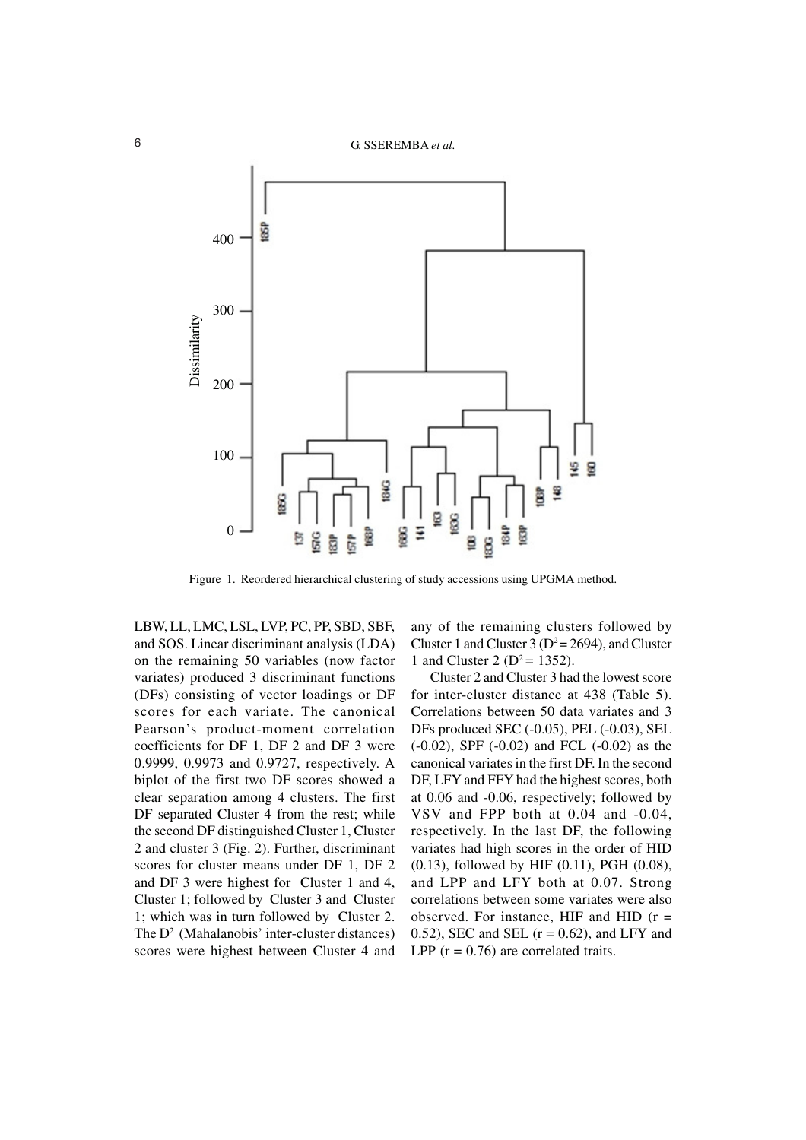

Figure 1. Reordered hierarchical clustering of study accessions using UPGMA method.

LBW, LL, LMC, LSL, LVP, PC, PP, SBD, SBF, and SOS. Linear discriminant analysis (LDA) on the remaining 50 variables (now factor variates) produced 3 discriminant functions (DFs) consisting of vector loadings or DF scores for each variate. The canonical Pearson's product-moment correlation coefficients for DF 1, DF 2 and DF 3 were 0.9999, 0.9973 and 0.9727, respectively. A biplot of the first two DF scores showed a clear separation among 4 clusters. The first DF separated Cluster 4 from the rest; while the second DF distinguished Cluster 1, Cluster 2 and cluster 3 (Fig. 2). Further, discriminant scores for cluster means under DF 1, DF 2 and DF 3 were highest for Cluster 1 and 4, Cluster 1; followed by Cluster 3 and Cluster 1; which was in turn followed by Cluster 2. The  $D^2$  (Mahalanobis' inter-cluster distances) scores were highest between Cluster 4 and

any of the remaining clusters followed by Cluster 1 and Cluster 3 ( $D^2 = 2694$ ), and Cluster 1 and Cluster 2 ( $D^2 = 1352$ ).

Cluster 2 and Cluster 3 had the lowest score for inter-cluster distance at 438 (Table 5). Correlations between 50 data variates and 3 DFs produced SEC (-0.05), PEL (-0.03), SEL (-0.02), SPF (-0.02) and FCL (-0.02) as the canonical variates in the first DF. In the second DF, LFY and FFY had the highest scores, both at 0.06 and -0.06, respectively; followed by VSV and FPP both at 0.04 and -0.04, respectively. In the last DF, the following variates had high scores in the order of HID (0.13), followed by HIF (0.11), PGH (0.08), and LPP and LFY both at 0.07. Strong correlations between some variates were also observed. For instance, HIF and HID  $(r =$ 0.52), SEC and SEL  $(r = 0.62)$ , and LFY and LPP  $(r = 0.76)$  are correlated traits.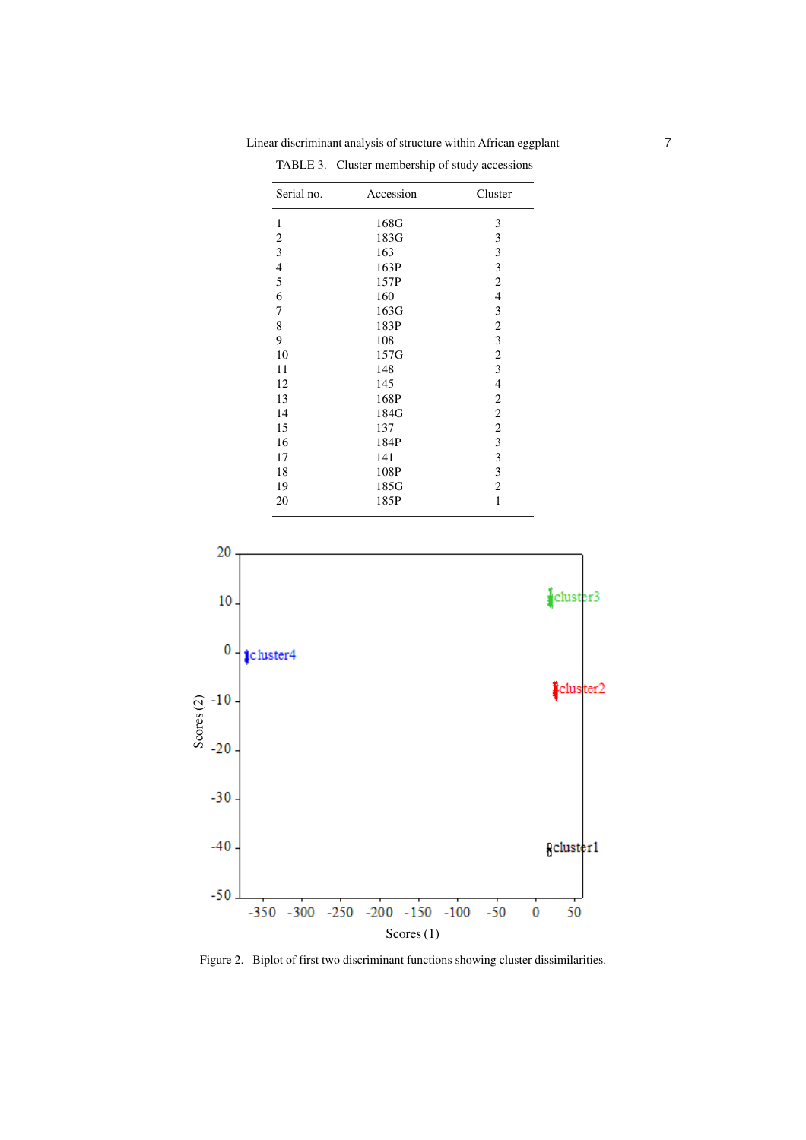| 168G<br>3<br>3<br>183G<br>3<br>163<br>3<br>163P<br>$\overline{c}$<br>157P<br>$\overline{\mathcal{L}}$<br>160<br>3<br>163G<br>$\overline{c}$<br>183P<br>$\mathfrak{Z}$<br>108<br>$\sqrt{2}$<br>157G<br>3<br>148<br>$\overline{4}$<br>145<br>168P<br>$\overline{c}$<br>$\sqrt{2}$<br>184G<br>$\sqrt{2}$<br>137<br>$\mathfrak{Z}$<br>184P<br>3<br>141<br>3<br>108P<br>$\overline{c}$<br>185G<br>1<br>185P | Serial no.              | Accession | Cluster |  |  |
|--------------------------------------------------------------------------------------------------------------------------------------------------------------------------------------------------------------------------------------------------------------------------------------------------------------------------------------------------------------------------------------------------------|-------------------------|-----------|---------|--|--|
|                                                                                                                                                                                                                                                                                                                                                                                                        | $\mathbf{1}$            |           |         |  |  |
|                                                                                                                                                                                                                                                                                                                                                                                                        | $\overline{\mathbf{c}}$ |           |         |  |  |
|                                                                                                                                                                                                                                                                                                                                                                                                        | 3                       |           |         |  |  |
|                                                                                                                                                                                                                                                                                                                                                                                                        | $\overline{4}$          |           |         |  |  |
|                                                                                                                                                                                                                                                                                                                                                                                                        | 5                       |           |         |  |  |
|                                                                                                                                                                                                                                                                                                                                                                                                        | 6                       |           |         |  |  |
|                                                                                                                                                                                                                                                                                                                                                                                                        | 7                       |           |         |  |  |
|                                                                                                                                                                                                                                                                                                                                                                                                        | 8                       |           |         |  |  |
|                                                                                                                                                                                                                                                                                                                                                                                                        | 9                       |           |         |  |  |
|                                                                                                                                                                                                                                                                                                                                                                                                        | 10                      |           |         |  |  |
|                                                                                                                                                                                                                                                                                                                                                                                                        | 11                      |           |         |  |  |
|                                                                                                                                                                                                                                                                                                                                                                                                        | 12                      |           |         |  |  |
|                                                                                                                                                                                                                                                                                                                                                                                                        | 13                      |           |         |  |  |
|                                                                                                                                                                                                                                                                                                                                                                                                        | 14                      |           |         |  |  |
|                                                                                                                                                                                                                                                                                                                                                                                                        | 15                      |           |         |  |  |
|                                                                                                                                                                                                                                                                                                                                                                                                        | 16                      |           |         |  |  |
|                                                                                                                                                                                                                                                                                                                                                                                                        | 17                      |           |         |  |  |
|                                                                                                                                                                                                                                                                                                                                                                                                        | 18                      |           |         |  |  |
|                                                                                                                                                                                                                                                                                                                                                                                                        | 19                      |           |         |  |  |
|                                                                                                                                                                                                                                                                                                                                                                                                        | 20                      |           |         |  |  |

Linear discriminant analysis of structure within African eggplant 7

TABLE 3. Cluster membership of study accessions

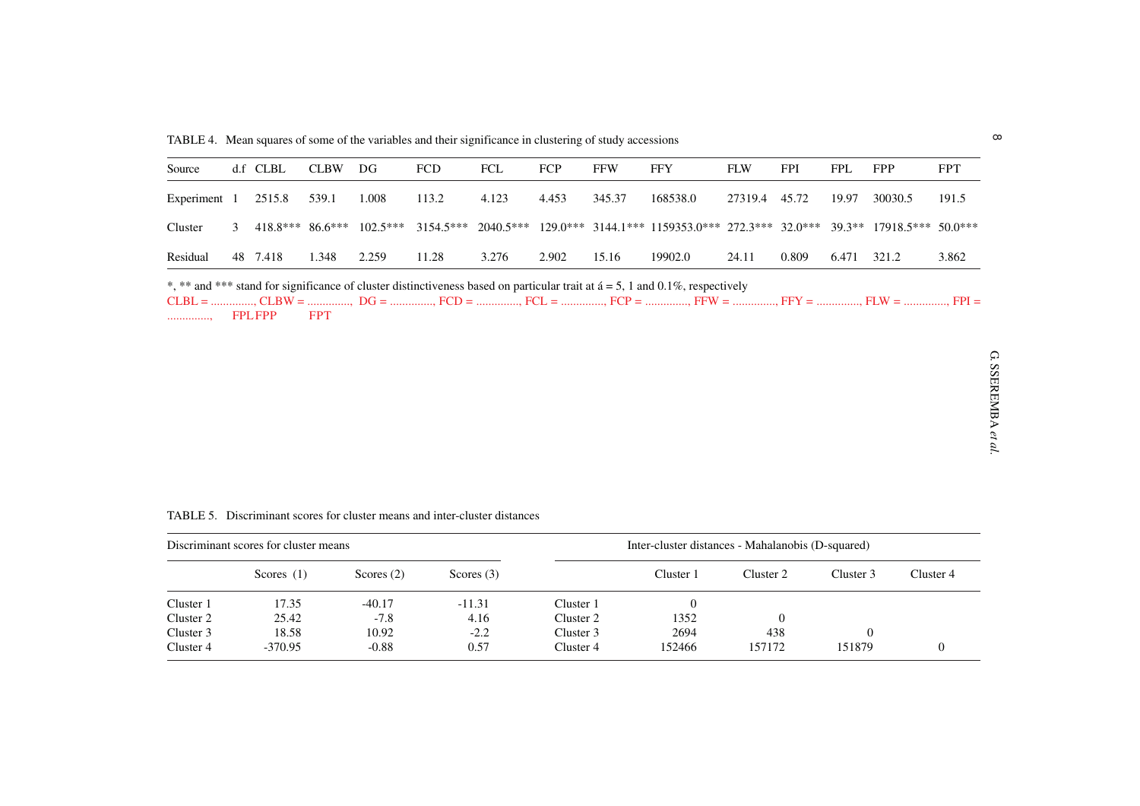| Source                                                                                                                                                               |  | d.f CLBL           | <b>CLBW</b> | DG         | <b>FCD</b> | <b>FCL</b> | FCP   | <b>FFW</b> | <b>FFY</b>                                                             | <b>FLW</b> | <b>FPI</b> | <b>FPL</b> | <b>FPP</b>                | <b>FPT</b> |
|----------------------------------------------------------------------------------------------------------------------------------------------------------------------|--|--------------------|-------------|------------|------------|------------|-------|------------|------------------------------------------------------------------------|------------|------------|------------|---------------------------|------------|
| Experiment 1                                                                                                                                                         |  | 2515.8             | 539.1       | 1.008      | 113.2      | 4.123      | 4.453 | 345.37     | 168538.0                                                               | 27319.4    | 45.72      | 19.97      | 30030.5                   | 191.5      |
| Cluster                                                                                                                                                              |  | $418.8***$ 86.6*** |             | $102.5***$ |            |            |       |            | $3154.5***$ 2040.5*** 129.0*** 3144.1*** 1159353.0*** 272.3*** 32.0*** |            |            |            | 39.3** 17918.5*** 50.0*** |            |
| Residual                                                                                                                                                             |  | 48 7.418           | 1.348       | 2.259      | 11.28      | 3.276      | 2.902 | 15.16      | 19902.0                                                                | 24.11      | 0.809      | 6.471      | 321.2                     | 3.862      |
| *, ** and *** stand for significance of cluster distinctiveness based on particular trait at $\acute{a} = 5$ , 1 and 0.1%, respectively<br><b>FPT</b><br>FPL FPP<br> |  |                    |             |            |            |            |       |            |                                                                        |            |            |            |                           |            |

TABLE 5. Discriminant scores for cluster means and inter-cluster distances

| Discriminant scores for cluster means |              |              |              | Inter-cluster distances - Mahalanobis (D-squared) |           |           |           |           |
|---------------------------------------|--------------|--------------|--------------|---------------------------------------------------|-----------|-----------|-----------|-----------|
|                                       | Scores $(1)$ | Scores $(2)$ | Scores $(3)$ |                                                   | Cluster 1 | Cluster 2 | Cluster 3 | Cluster 4 |
| Cluster 1                             | 17.35        | $-40.17$     | $-11.31$     | Cluster 1                                         |           |           |           |           |
| Cluster 2                             | 25.42        | $-7.8$       | 4.16         | Cluster 2                                         | 1352      |           |           |           |
| Cluster 3                             | 18.58        | 10.92        | $-2.2$       | Cluster 3                                         | 2694      | 438       |           |           |
| Cluster 4                             | $-370.95$    | $-0.88$      | 0.57         | Cluster 4                                         | 152466    | 157172    | 151879    |           |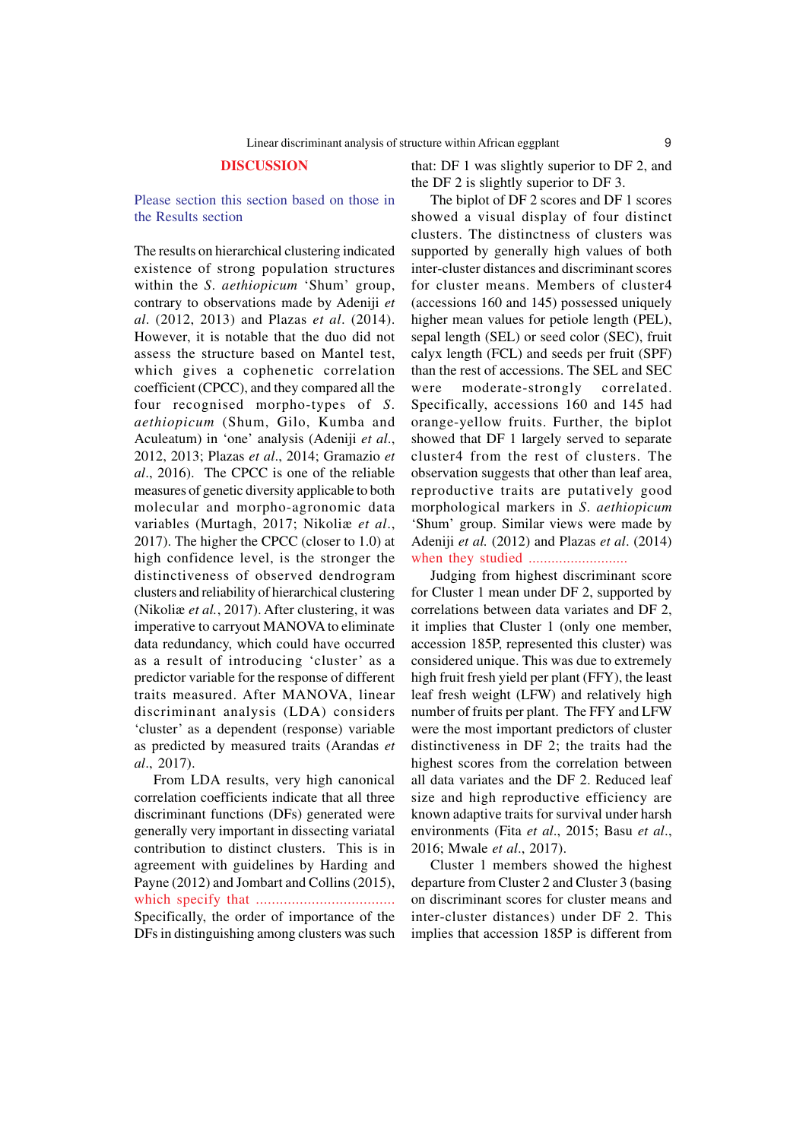#### **DISCUSSION**

Please section this section based on those in the Results section

The results on hierarchical clustering indicated existence of strong population structures within the *S*. *aethiopicum* 'Shum' group, contrary to observations made by Adeniji *et al*. (2012, 2013) and Plazas *et al*. (2014). However, it is notable that the duo did not assess the structure based on Mantel test, which gives a cophenetic correlation coefficient (CPCC), and they compared all the four recognised morpho-types of *S*. *aethiopicum* (Shum, Gilo, Kumba and Aculeatum) in 'one' analysis (Adeniji *et al*., 2012, 2013; Plazas *et al*., 2014; Gramazio *et al*., 2016). The CPCC is one of the reliable measures of genetic diversity applicable to both molecular and morpho-agronomic data variables (Murtagh, 2017; Nikoliæ *et al*., 2017). The higher the CPCC (closer to 1.0) at high confidence level, is the stronger the distinctiveness of observed dendrogram clusters and reliability of hierarchical clustering (Nikoliæ *et al.*, 2017). After clustering, it was imperative to carryout MANOVA to eliminate data redundancy, which could have occurred as a result of introducing 'cluster' as a predictor variable for the response of different traits measured. After MANOVA, linear discriminant analysis (LDA) considers 'cluster' as a dependent (response) variable as predicted by measured traits (Arandas *et al*., 2017).

From LDA results, very high canonical correlation coefficients indicate that all three discriminant functions (DFs) generated were generally very important in dissecting variatal contribution to distinct clusters. This is in agreement with guidelines by Harding and Payne (2012) and Jombart and Collins (2015), which specify that ................................... Specifically, the order of importance of the DFs in distinguishing among clusters was such

that: DF 1 was slightly superior to DF 2, and the DF 2 is slightly superior to DF 3.

The biplot of DF 2 scores and DF 1 scores showed a visual display of four distinct clusters. The distinctness of clusters was supported by generally high values of both inter-cluster distances and discriminant scores for cluster means. Members of cluster4 (accessions 160 and 145) possessed uniquely higher mean values for petiole length (PEL), sepal length (SEL) or seed color (SEC), fruit calyx length (FCL) and seeds per fruit (SPF) than the rest of accessions. The SEL and SEC were moderate-strongly correlated. Specifically, accessions 160 and 145 had orange-yellow fruits. Further, the biplot showed that DF 1 largely served to separate cluster4 from the rest of clusters. The observation suggests that other than leaf area, reproductive traits are putatively good morphological markers in *S*. *aethiopicum* 'Shum' group. Similar views were made by Adeniji *et al.* (2012) and Plazas *et al*. (2014) when they studied ..........................

Judging from highest discriminant score for Cluster 1 mean under DF 2, supported by correlations between data variates and DF 2, it implies that Cluster 1 (only one member, accession 185P, represented this cluster) was considered unique. This was due to extremely high fruit fresh yield per plant (FFY), the least leaf fresh weight (LFW) and relatively high number of fruits per plant. The FFY and LFW were the most important predictors of cluster distinctiveness in DF 2; the traits had the highest scores from the correlation between all data variates and the DF 2. Reduced leaf size and high reproductive efficiency are known adaptive traits for survival under harsh environments (Fita *et al*., 2015; Basu *et al*., 2016; Mwale *et al*., 2017).

Cluster 1 members showed the highest departure from Cluster 2 and Cluster 3 (basing on discriminant scores for cluster means and inter-cluster distances) under DF 2. This implies that accession 185P is different from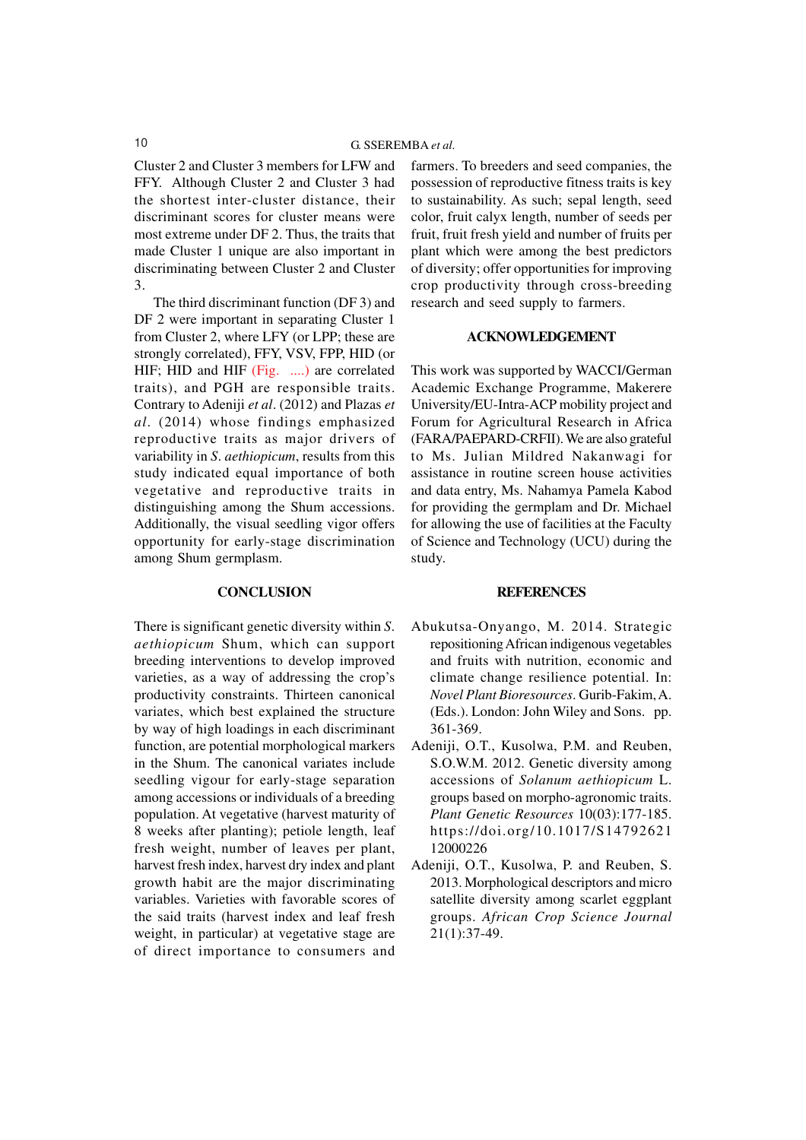Cluster 2 and Cluster 3 members for LFW and FFY. Although Cluster 2 and Cluster 3 had the shortest inter-cluster distance, their discriminant scores for cluster means were most extreme under DF 2. Thus, the traits that made Cluster 1 unique are also important in discriminating between Cluster 2 and Cluster 3.

The third discriminant function (DF 3) and DF 2 were important in separating Cluster 1 from Cluster 2, where LFY (or LPP; these are strongly correlated), FFY, VSV, FPP, HID (or HIF; HID and HIF (Fig. ....) are correlated traits), and PGH are responsible traits. Contrary to Adeniji *et al*. (2012) and Plazas *et al*. (2014) whose findings emphasized reproductive traits as major drivers of variability in *S*. *aethiopicum*, results from this study indicated equal importance of both vegetative and reproductive traits in distinguishing among the Shum accessions. Additionally, the visual seedling vigor offers opportunity for early-stage discrimination among Shum germplasm.

## **CONCLUSION**

There is significant genetic diversity within *S*. *aethiopicum* Shum, which can support breeding interventions to develop improved varieties, as a way of addressing the crop's productivity constraints. Thirteen canonical variates, which best explained the structure by way of high loadings in each discriminant function, are potential morphological markers in the Shum. The canonical variates include seedling vigour for early-stage separation among accessions or individuals of a breeding population. At vegetative (harvest maturity of 8 weeks after planting); petiole length, leaf fresh weight, number of leaves per plant, harvest fresh index, harvest dry index and plant growth habit are the major discriminating variables. Varieties with favorable scores of the said traits (harvest index and leaf fresh weight, in particular) at vegetative stage are of direct importance to consumers and farmers. To breeders and seed companies, the possession of reproductive fitness traits is key to sustainability. As such; sepal length, seed color, fruit calyx length, number of seeds per fruit, fruit fresh yield and number of fruits per plant which were among the best predictors of diversity; offer opportunities for improving crop productivity through cross-breeding research and seed supply to farmers.

# **ACKNOWLEDGEMENT**

This work was supported by WACCI/German Academic Exchange Programme, Makerere University/EU-Intra-ACP mobility project and Forum for Agricultural Research in Africa (FARA/PAEPARD-CRFII). We are also grateful to Ms. Julian Mildred Nakanwagi for assistance in routine screen house activities and data entry, Ms. Nahamya Pamela Kabod for providing the germplam and Dr. Michael for allowing the use of facilities at the Faculty of Science and Technology (UCU) during the study.

#### **REFERENCES**

- Abukutsa-Onyango, M. 2014. Strategic repositioning African indigenous vegetables and fruits with nutrition, economic and climate change resilience potential. In: *Novel Plant Bioresources*. Gurib-Fakim, A. (Eds.). London: John Wiley and Sons. pp. 361-369.
- Adeniji, O.T., Kusolwa, P.M. and Reuben, S.O.W.M. 2012. Genetic diversity among accessions of *Solanum aethiopicum* L. groups based on morpho-agronomic traits. *Plant Genetic Resources* 10(03):177-185. https://doi.org/10.1017/S14792621 12000226
- Adeniji, O.T., Kusolwa, P. and Reuben, S. 2013. Morphological descriptors and micro satellite diversity among scarlet eggplant groups. *African Crop Science Journal* 21(1):37-49.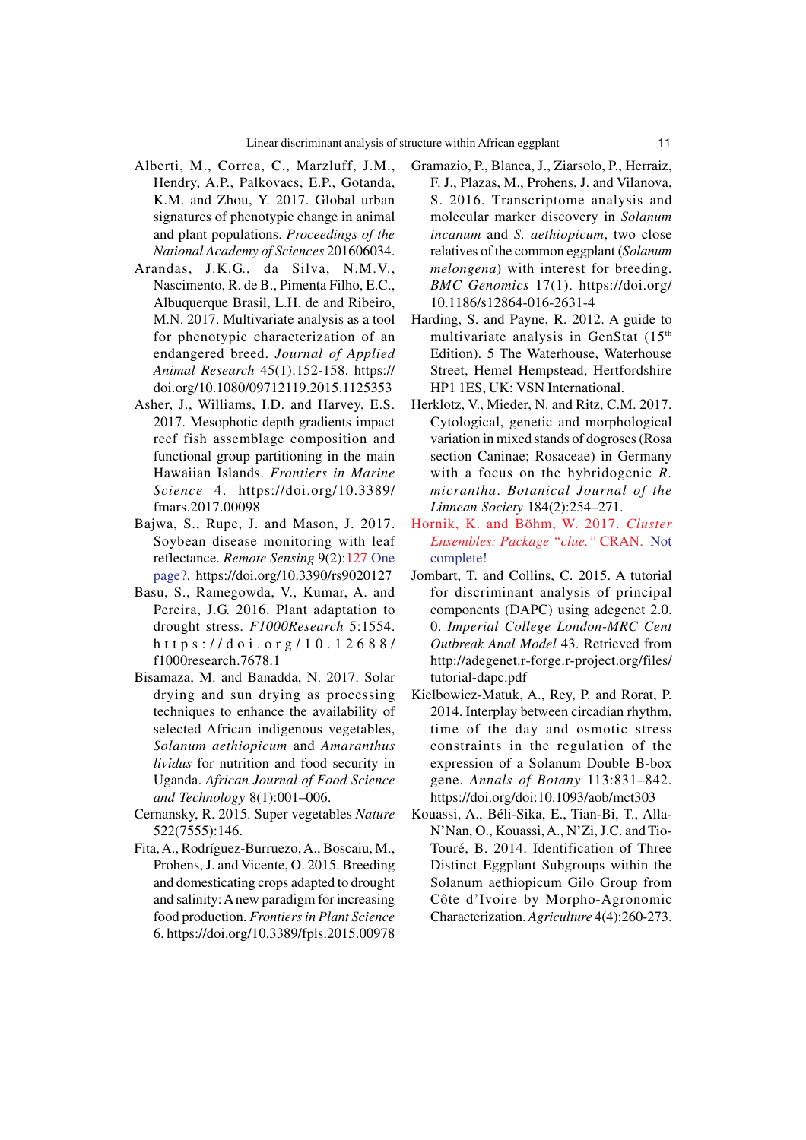- Alberti, M., Correa, C., Marzluff, J.M., Hendry, A.P., Palkovacs, E.P., Gotanda, K.M. and Zhou, Y. 2017. Global urban signatures of phenotypic change in animal and plant populations. *Proceedings of the National Academy of Sciences* 201606034.
- Arandas, J.K.G., da Silva, N.M.V., Nascimento, R. de B., Pimenta Filho, E.C., Albuquerque Brasil, L.H. de and Ribeiro, M.N. 2017. Multivariate analysis as a tool for phenotypic characterization of an endangered breed. *Journal of Applied Animal Research* 45(1):152-158. https:// doi.org/10.1080/09712119.2015.1125353
- Asher, J., Williams, I.D. and Harvey, E.S. 2017. Mesophotic depth gradients impact reef fish assemblage composition and functional group partitioning in the main Hawaiian Islands. *Frontiers in Marine Science* 4. https://doi.org/10.3389/ fmars.2017.00098
- Bajwa, S., Rupe, J. and Mason, J. 2017. Soybean disease monitoring with leaf reflectance. *Remote Sensing* 9(2):127 One page?. https://doi.org/10.3390/rs9020127
- Basu, S., Ramegowda, V., Kumar, A. and Pereira, J.G. 2016. Plant adaptation to drought stress. *F1000Research* 5:1554. https://doi.org/10.12688/ f1000research.7678.1
- Bisamaza, M. and Banadda, N. 2017. Solar drying and sun drying as processing techniques to enhance the availability of selected African indigenous vegetables, *Solanum aethiopicum* and *Amaranthus lividus* for nutrition and food security in Uganda. *African Journal of Food Science and Technology* 8(1):001–006.
- Cernansky, R. 2015. Super vegetables *Nature* 522(7555):146.
- Fita, A., Rodríguez-Burruezo, A., Boscaiu, M., Prohens, J. and Vicente, O. 2015. Breeding and domesticating crops adapted to drought and salinity: A new paradigm for increasing food production. *Frontiers in Plant Science* 6. https://doi.org/10.3389/fpls.2015.00978
- Gramazio, P., Blanca, J., Ziarsolo, P., Herraiz, F. J., Plazas, M., Prohens, J. and Vilanova, S. 2016. Transcriptome analysis and molecular marker discovery in *Solanum incanum* and *S. aethiopicum*, two close relatives of the common eggplant (*Solanum melongena*) with interest for breeding. *BMC Genomics* 17(1). https://doi.org/ 10.1186/s12864-016-2631-4
- Harding, S. and Payne, R. 2012. A guide to multivariate analysis in GenStat (15<sup>th</sup>) Edition). 5 The Waterhouse, Waterhouse Street, Hemel Hempstead, Hertfordshire HP1 1ES, UK: VSN International.
- Herklotz, V., Mieder, N. and Ritz, C.M. 2017. Cytological, genetic and morphological variation in mixed stands of dogroses (Rosa section Caninae; Rosaceae) in Germany with a focus on the hybridogenic *R. micrantha*. *Botanical Journal of the Linnean Society* 184(2):254–271.
- Hornik, K. and Böhm, W. 2017. *Cluster Ensembles: Package "clue."* CRAN. Not complete!
- Jombart, T. and Collins, C. 2015. A tutorial for discriminant analysis of principal components (DAPC) using adegenet 2.0. 0. *Imperial College London-MRC Cent Outbreak Anal Model* 43. Retrieved from http://adegenet.r-forge.r-project.org/files/ tutorial-dapc.pdf
- Kielbowicz-Matuk, A., Rey, P. and Rorat, P. 2014. Interplay between circadian rhythm, time of the day and osmotic stress constraints in the regulation of the expression of a Solanum Double B-box gene. *Annals of Botany* 113:831–842. https://doi.org/doi:10.1093/aob/mct303
- Kouassi, A., Béli-Sika, E., Tian-Bi, T., Alla-N'Nan, O., Kouassi, A., N'Zi, J.C. and Tio-Touré, B. 2014. Identification of Three Distinct Eggplant Subgroups within the Solanum aethiopicum Gilo Group from Côte d'Ivoire by Morpho-Agronomic Characterization. *Agriculture* 4(4):260-273.